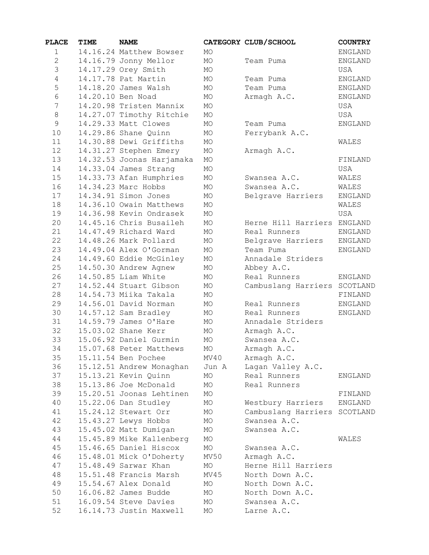| <b>PLACE</b>   | TIME | <b>NAME</b>                                     |            | CATEGORY CLUB/SCHOOL               | <b>COUNTRY</b> |
|----------------|------|-------------------------------------------------|------------|------------------------------------|----------------|
| $\mathbf{1}$   |      | 14.16.24 Matthew Bowser                         | <b>MO</b>  |                                    | <b>ENGLAND</b> |
| $\mathbf{2}$   |      | 14.16.79 Jonny Mellor                           | MO         | Team Puma                          | <b>ENGLAND</b> |
| 3              |      | 14.17.29 Orey Smith                             | MO         |                                    | USA            |
| $\overline{4}$ |      | 14.17.78 Pat Martin                             | MO         | Team Puma                          | <b>ENGLAND</b> |
| 5              |      | 14.18.20 James Walsh                            | MO         | Team Puma                          | <b>ENGLAND</b> |
| $\epsilon$     |      | 14.20.10 Ben Noad                               | MO         | Armagh A.C.                        | ENGLAND        |
| 7              |      | 14.20.98 Tristen Mannix                         | MO         |                                    | USA            |
| $\,8\,$        |      | 14.27.07 Timothy Ritchie                        | MO         |                                    | USA            |
| $\mathsf 9$    |      | 14.29.33 Matt Clowes                            | MO         | Team Puma                          | <b>ENGLAND</b> |
| 10             |      | 14.29.86 Shane Quinn                            | MO         | Ferrybank A.C.                     |                |
| 11             |      | 14.30.88 Dewi Griffiths                         | MO         |                                    | WALES          |
| 12             |      | 14.31.27 Stephen Emery                          | MO         | Armagh A.C.                        |                |
| 13             |      | 14.32.53 Joonas Harjamaka                       | MO         |                                    | FINLAND        |
| 14             |      | 14.33.04 James Strang                           | MO         |                                    | USA            |
| 15             |      | 14.33.73 Afan Humphries                         | MO         | Swansea A.C.                       | WALES          |
| 16             |      | 14.34.23 Marc Hobbs                             | MO         | Swansea A.C.                       | WALES          |
| 17             |      | 14.34.91 Simon Jones                            | MO         | Belgrave Harriers                  | <b>ENGLAND</b> |
| 18             |      | 14.36.10 Owain Matthews                         | MO         |                                    | WALES          |
| 19             |      | 14.36.98 Kevin Ondrasek                         | MO         |                                    | USA            |
| 20             |      | 14.45.16 Chris Busaileh                         | MO         | Herne Hill Harriers                | ENGLAND        |
| 21             |      | 14.47.49 Richard Ward                           | MO         | Real Runners                       | <b>ENGLAND</b> |
| 22             |      | 14.48.26 Mark Pollard                           | MO         | Belgrave Harriers                  | <b>ENGLAND</b> |
| 23             |      | 14.49.04 Alex O'Gorman                          | MO         | Team Puma                          | ENGLAND        |
| 24             |      | 14.49.60 Eddie McGinley                         | MO         | Annadale Striders                  |                |
| 25             |      | 14.50.30 Andrew Agnew                           | MO         | Abbey A.C.                         |                |
| 26             |      | 14.50.85 Liam White                             | MO         | Real Runners                       | <b>ENGLAND</b> |
| 27             |      | 14.52.44 Stuart Gibson                          | MO         | Cambuslang Harriers SCOTLAND       |                |
| 28             |      | 14.54.73 Miika Takala                           | MO         |                                    | FINLAND        |
| 29             |      | 14.56.01 David Norman                           | MO         | Real Runners                       | <b>ENGLAND</b> |
| 30             |      | 14.57.12 Sam Bradley                            | MO         | Real Runners                       | <b>ENGLAND</b> |
| 31             |      | 14.59.79 James O'Hare                           | MO         | Annadale Striders                  |                |
| 32             |      | 15.03.02 Shane Kerr                             | MO         | Armagh A.C.                        |                |
| 33             |      | 15.06.92 Daniel Gurmin                          | <b>MO</b>  | Swansea A.C.                       |                |
| 34             |      | 15.07.68 Peter Matthews                         | MO         | Armagh A.C.                        |                |
| 35             |      | 15.11.54 Ben Pochee                             | MV40       | Armagh A.C.                        |                |
| 36             |      | 15.12.51 Andrew Monaghan                        | Jun A      | Lagan Valley A.C.                  |                |
| 37             |      | 15.13.21 Kevin Quinn                            | MO         | Real Runners                       | ENGLAND        |
| 38             |      | 15.13.86 Joe McDonald                           | MO         | Real Runners                       |                |
| 39             |      | 15.20.51 Joonas Lehtinen                        | MO         |                                    | FINLAND        |
| 40             |      | 15.22.06 Dan Studley                            | МO         | Westbury Harriers                  | ENGLAND        |
| 41             |      | 15.24.12 Stewart Orr                            | МO         | Cambuslang Harriers                | SCOTLAND       |
| 42             |      | 15.43.27 Lewys Hobbs                            | MO         | Swansea A.C.                       |                |
| 43             |      | 15.45.02 Matt Dumigan                           | MO         | Swansea A.C.                       |                |
| 44             |      | 15.45.89 Mike Kallenberg                        | MO         |                                    | WALES          |
| 45             |      | 15.46.65 Daniel Hiscox                          | MO         | Swansea A.C.                       |                |
| 46             |      | 15.48.01 Mick O'Doherty<br>15.48.49 Sarwar Khan | MV50       | Armagh A.C.<br>Herne Hill Harriers |                |
| 47<br>48       |      | 15.51.48 Francis Marsh                          | MO<br>MV45 | North Down A.C.                    |                |
| 49             |      | 15.54.67 Alex Donald                            |            |                                    |                |
| 50             |      | 16.06.82 James Budde                            | MO<br>MO   | North Down A.C.<br>North Down A.C. |                |
| 51             |      | 16.09.54 Steve Davies                           | MO         | Swansea A.C.                       |                |
| 52             |      | 16.14.73 Justin Maxwell                         | MO         |                                    |                |
|                |      |                                                 |            | Larne A.C.                         |                |